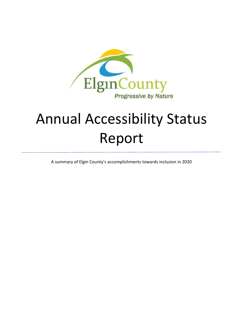

# Annual Accessibility Status Report

A summary of Elgin County's accomplishments towards inclusion in 2020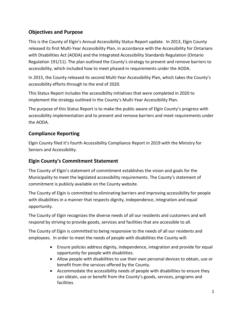## **Objectives and Purpose**

This is the County of Elgin's Annual Accessibility Status Report update. In 2013, Elgin County released its first Multi-Year Accessibility Plan, in accordance with the Accessibility for Ontarians with Disabilities Act (AODA) and the Integrated Accessibility Standards Regulation (Ontario Regulation 191/11). The plan outlined the County's strategy to prevent and remove barriers to accessibility, which included how to meet phased-in requirements under the AODA.

In 2015, the County released its second Multi-Year Accessibility Plan, which takes the County's accessibility efforts through to the end of 2020.

This Status Report includes the accessibility initiatives that were completed in 2020 to implement the strategy outlined in the County's Multi-Year Accessibility Plan.

The purpose of this Status Report is to make the public aware of Elgin County's progress with accessibility implementation and to prevent and remove barriers and meet requirements under the AODA.

#### **Compliance Reporting**

Elgin County filed it's fourth Accessibility Compliance Report in 2019 with the Ministry for Seniors and Accessibility.

#### **Elgin County's Commitment Statement**

The County of Elgin's statement of commitment establishes the vision and goals for the Municipality to meet the legislated accessibility requirements. The County's statement of commitment is publicly available on the County website.

The County of Elgin is committed to eliminating barriers and improving accessibility for people with disabilities in a manner that respects dignity, independence, integration and equal opportunity.

The County of Elgin recognizes the diverse needs of all our residents and customers and will respond by striving to provide goods, services and facilities that are accessible to all.

The County of Elgin is committed to being responsive to the needs of all our residents and employees. In order to meet the needs of people with disabilities the County will:

- Ensure policies address dignity, independence, integration and provide for equal opportunity for people with disabilities.
- Allow people with disabilities to use their own personal devices to obtain, use or benefit from the services offered by the County.
- Accommodate the accessibility needs of people with disabilities to ensure they can obtain, use or benefit from the County's goods, services, programs and facilities.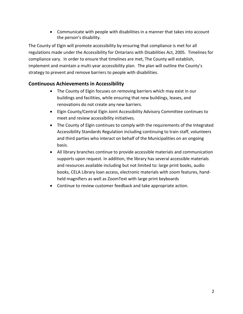• Communicate with people with disabilities in a manner that takes into account the person's disability.

The County of Elgin will promote accessibility by ensuring that compliance is met for all regulations made under the Accessibility for Ontarians with Disabilities Act, 2005. Timelines for compliance vary. In order to ensure that timelines are met, The County will establish, implement and maintain a multi-year accessibility plan. The plan will outline the County's strategy to prevent and remove barriers to people with disabilities.

### **Continuous Achievements in Accessibility**

- The County of Elgin focuses on removing barriers which may exist in our buildings and facilities, while ensuring that new buildings, leases, and renovations do not create any new barriers.
- Elgin County/Central Elgin Joint Accessibility Advisory Committee continues to meet and review accessibility initiatives.
- The County of Elgin continues to comply with the requirements of the Integrated Accessibility Standards Regulation including continuing to train staff, volunteers and third parties who interact on behalf of the Municipalities on an ongoing basis.
- All library branches continue to provide accessible materials and communication supports upon request. In addition, the library has several accessible materials and resources available including but not limited to: large print books, audio books, CELA Library loan access, electronic materials with zoom features, handheld magnifiers as well as ZoomText with large print keyboards
- Continue to review customer feedback and take appropriate action.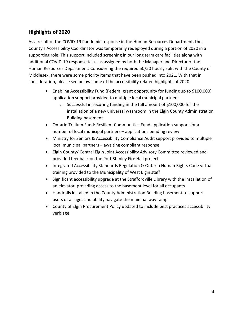### **Highlights of 2020**

As a result of the COVID-19 Pandemic response in the Human Resources Department, the County's Accessibility Coordinator was temporarily redeployed during a portion of 2020 in a supporting role. This support included screening in our long term care facilities along with additional COVID-19 response tasks as assigned by both the Manager and Director of the Human Resources Department. Considering the required 50/50 hourly split with the County of Middlesex, there were some priority items that have been pushed into 2021. With that in consideration, please see below some of the accessibility related highlights of 2020:

- Enabling Accessibility Fund (Federal grant opportunity for funding up to \$100,000) application support provided to multiple local municipal partners
	- o Successful in securing funding in the full amount of \$100,000 for the installation of a new universal washroom in the Elgin County Administration Building basement
- Ontario Trillium Fund: Resilient Communities Fund application support for a number of local municipal partners – applications pending review
- Ministry for Seniors & Accessibility Compliance Audit support provided to multiple local municipal partners – awaiting compliant response
- Elgin County/ Central Elgin Joint Accessibility Advisory Committee reviewed and provided feedback on the Port Stanley Fire Hall project
- Integrated Accessibility Standards Regulation & Ontario Human Rights Code virtual training provided to the Municipality of West Elgin staff
- Significant accessibility upgrade at the Straffordville Library with the installation of an elevator, providing access to the basement level for all occupants
- Handrails installed in the County Administration Building basement to support users of all ages and ability navigate the main hallway ramp
- County of Elgin Procurement Policy updated to include best practices accessibility verbiage